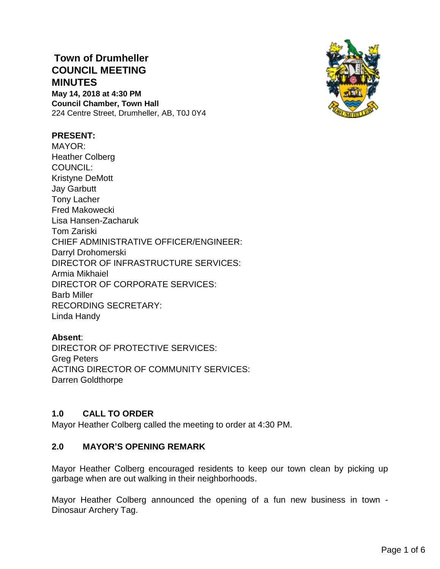# **Town of Drumheller COUNCIL MEETING MINUTES May 14, 2018 at 4:30 PM**

**Council Chamber, Town Hall** 224 Centre Street, Drumheller, AB, T0J 0Y4



### **PRESENT:**

MAYOR: Heather Colberg COUNCIL: Kristyne DeMott Jay Garbutt Tony Lacher Fred Makowecki Lisa Hansen-Zacharuk Tom Zariski CHIEF ADMINISTRATIVE OFFICER/ENGINEER: Darryl Drohomerski DIRECTOR OF INFRASTRUCTURE SERVICES: Armia Mikhaiel DIRECTOR OF CORPORATE SERVICES: Barb Miller RECORDING SECRETARY: Linda Handy

# **Absent**:

DIRECTOR OF PROTECTIVE SERVICES: Greg Peters ACTING DIRECTOR OF COMMUNITY SERVICES: Darren Goldthorpe

# **1.0 CALL TO ORDER**

Mayor Heather Colberg called the meeting to order at 4:30 PM.

### **2.0 MAYOR'S OPENING REMARK**

Mayor Heather Colberg encouraged residents to keep our town clean by picking up garbage when are out walking in their neighborhoods.

Mayor Heather Colberg announced the opening of a fun new business in town - Dinosaur Archery Tag.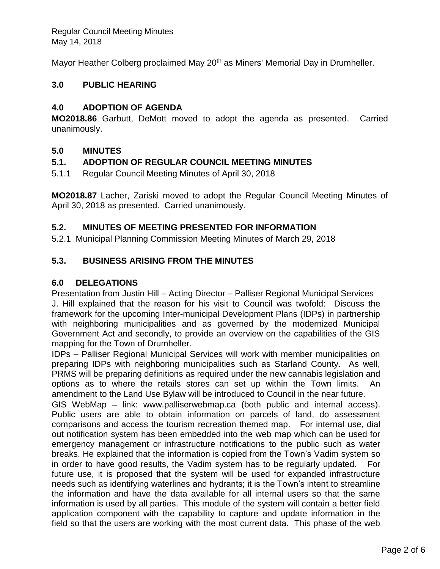Mayor Heather Colberg proclaimed May 20<sup>th</sup> as Miners' Memorial Day in Drumheller.

### **3.0 PUBLIC HEARING**

### **4.0 ADOPTION OF AGENDA**

**MO2018.86** Garbutt, DeMott moved to adopt the agenda as presented. Carried unanimously.

### **5.0 MINUTES**

### **5.1. ADOPTION OF REGULAR COUNCIL MEETING MINUTES**

5.1.1 Regular Council Meeting Minutes of April 30, 2018

**MO2018.87** Lacher, Zariski moved to adopt the Regular Council Meeting Minutes of April 30, 2018 as presented. Carried unanimously.

### **5.2. MINUTES OF MEETING PRESENTED FOR INFORMATION**

5.2.1 Municipal Planning Commission Meeting Minutes of March 29, 2018

### **5.3. BUSINESS ARISING FROM THE MINUTES**

### **6.0 DELEGATIONS**

Presentation from Justin Hill – Acting Director – Palliser Regional Municipal Services J. Hill explained that the reason for his visit to Council was twofold: Discuss the framework for the upcoming Inter-municipal Development Plans (IDPs) in partnership with neighboring municipalities and as governed by the modernized Municipal Government Act and secondly, to provide an overview on the capabilities of the GIS mapping for the Town of Drumheller.

IDPs – Palliser Regional Municipal Services will work with member municipalities on preparing IDPs with neighboring municipalities such as Starland County. As well, PRMS will be preparing definitions as required under the new cannabis legislation and options as to where the retails stores can set up within the Town limits. An amendment to the Land Use Bylaw will be introduced to Council in the near future.

GIS WebMap – link: www.palliserwebmap.ca (both public and internal access). Public users are able to obtain information on parcels of land, do assessment comparisons and access the tourism recreation themed map. For internal use, dial out notification system has been embedded into the web map which can be used for emergency management or infrastructure notifications to the public such as water breaks. He explained that the information is copied from the Town's Vadim system so in order to have good results, the Vadim system has to be regularly updated. For future use, it is proposed that the system will be used for expanded infrastructure needs such as identifying waterlines and hydrants; it is the Town's intent to streamline the information and have the data available for all internal users so that the same information is used by all parties. This module of the system will contain a better field application component with the capability to capture and update information in the field so that the users are working with the most current data. This phase of the web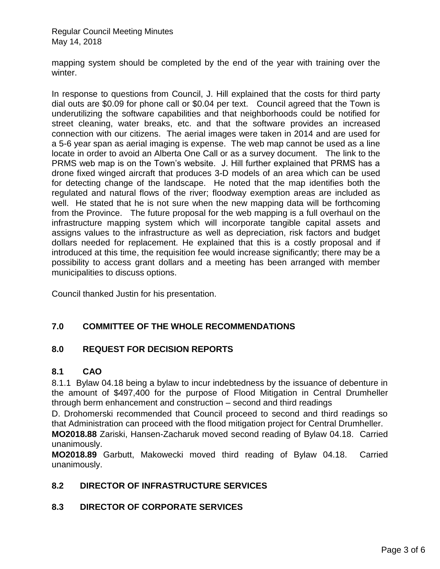mapping system should be completed by the end of the year with training over the winter.

In response to questions from Council, J. Hill explained that the costs for third party dial outs are \$0.09 for phone call or \$0.04 per text. Council agreed that the Town is underutilizing the software capabilities and that neighborhoods could be notified for street cleaning, water breaks, etc. and that the software provides an increased connection with our citizens. The aerial images were taken in 2014 and are used for a 5-6 year span as aerial imaging is expense. The web map cannot be used as a line locate in order to avoid an Alberta One Call or as a survey document. The link to the PRMS web map is on the Town's website. J. Hill further explained that PRMS has a drone fixed winged aircraft that produces 3-D models of an area which can be used for detecting change of the landscape. He noted that the map identifies both the regulated and natural flows of the river; floodway exemption areas are included as well. He stated that he is not sure when the new mapping data will be forthcoming from the Province. The future proposal for the web mapping is a full overhaul on the infrastructure mapping system which will incorporate tangible capital assets and assigns values to the infrastructure as well as depreciation, risk factors and budget dollars needed for replacement. He explained that this is a costly proposal and if introduced at this time, the requisition fee would increase significantly; there may be a possibility to access grant dollars and a meeting has been arranged with member municipalities to discuss options.

Council thanked Justin for his presentation.

# **7.0 COMMITTEE OF THE WHOLE RECOMMENDATIONS**

### **8.0 REQUEST FOR DECISION REPORTS**

### **8.1 CAO**

8.1.1 Bylaw 04.18 being a bylaw to incur indebtedness by the issuance of debenture in the amount of \$497,400 for the purpose of Flood Mitigation in Central Drumheller through berm enhancement and construction – second and third readings

D. Drohomerski recommended that Council proceed to second and third readings so that Administration can proceed with the flood mitigation project for Central Drumheller.

**MO2018.88** Zariski, Hansen-Zacharuk moved second reading of Bylaw 04.18. Carried unanimously.

**MO2018.89** Garbutt, Makowecki moved third reading of Bylaw 04.18. Carried unanimously.

### **8.2 DIRECTOR OF INFRASTRUCTURE SERVICES**

### **8.3 DIRECTOR OF CORPORATE SERVICES**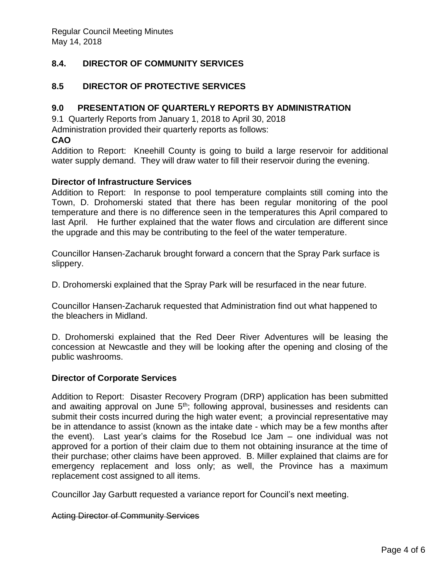# **8.4. DIRECTOR OF COMMUNITY SERVICES**

### **8.5 DIRECTOR OF PROTECTIVE SERVICES**

### **9.0 PRESENTATION OF QUARTERLY REPORTS BY ADMINISTRATION**

9.1 Quarterly Reports from January 1, 2018 to April 30, 2018

Administration provided their quarterly reports as follows:

#### **CAO**

Addition to Report: Kneehill County is going to build a large reservoir for additional water supply demand. They will draw water to fill their reservoir during the evening.

#### **Director of Infrastructure Services**

Addition to Report: In response to pool temperature complaints still coming into the Town, D. Drohomerski stated that there has been regular monitoring of the pool temperature and there is no difference seen in the temperatures this April compared to last April. He further explained that the water flows and circulation are different since the upgrade and this may be contributing to the feel of the water temperature.

Councillor Hansen-Zacharuk brought forward a concern that the Spray Park surface is slippery.

D. Drohomerski explained that the Spray Park will be resurfaced in the near future.

Councillor Hansen-Zacharuk requested that Administration find out what happened to the bleachers in Midland.

D. Drohomerski explained that the Red Deer River Adventures will be leasing the concession at Newcastle and they will be looking after the opening and closing of the public washrooms.

### **Director of Corporate Services**

Addition to Report: Disaster Recovery Program (DRP) application has been submitted and awaiting approval on June  $5<sup>th</sup>$ ; following approval, businesses and residents can submit their costs incurred during the high water event; a provincial representative may be in attendance to assist (known as the intake date - which may be a few months after the event). Last year's claims for the Rosebud Ice Jam – one individual was not approved for a portion of their claim due to them not obtaining insurance at the time of their purchase; other claims have been approved. B. Miller explained that claims are for emergency replacement and loss only; as well, the Province has a maximum replacement cost assigned to all items.

Councillor Jay Garbutt requested a variance report for Council's next meeting.

#### Acting Director of Community Services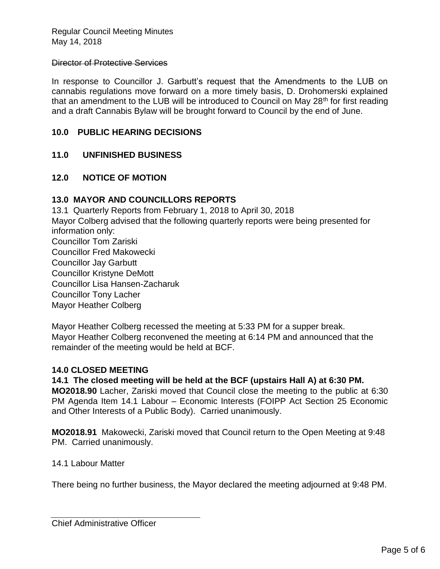#### Director of Protective Services

In response to Councillor J. Garbutt's request that the Amendments to the LUB on cannabis regulations move forward on a more timely basis, D. Drohomerski explained that an amendment to the LUB will be introduced to Council on May  $28<sup>th</sup>$  for first reading and a draft Cannabis Bylaw will be brought forward to Council by the end of June.

### **10.0 PUBLIC HEARING DECISIONS**

### **11.0 UNFINISHED BUSINESS**

### **12.0 NOTICE OF MOTION**

### **13.0 MAYOR AND COUNCILLORS REPORTS**

13.1 Quarterly Reports from February 1, 2018 to April 30, 2018 Mayor Colberg advised that the following quarterly reports were being presented for information only: Councillor Tom Zariski Councillor Fred Makowecki Councillor Jay Garbutt Councillor Kristyne DeMott Councillor Lisa Hansen-Zacharuk Councillor Tony Lacher Mayor Heather Colberg

Mayor Heather Colberg recessed the meeting at 5:33 PM for a supper break. Mayor Heather Colberg reconvened the meeting at 6:14 PM and announced that the remainder of the meeting would be held at BCF.

### **14.0 CLOSED MEETING**

**14.1 The closed meeting will be held at the BCF (upstairs Hall A) at 6:30 PM. MO2018.90** Lacher, Zariski moved that Council close the meeting to the public at 6:30 PM Agenda Item 14.1 Labour – Economic Interests (FOIPP Act Section 25 Economic and Other Interests of a Public Body). Carried unanimously.

**MO2018.91** Makowecki, Zariski moved that Council return to the Open Meeting at 9:48 PM. Carried unanimously.

### 14.1 Labour Matter

There being no further business, the Mayor declared the meeting adjourned at 9:48 PM.